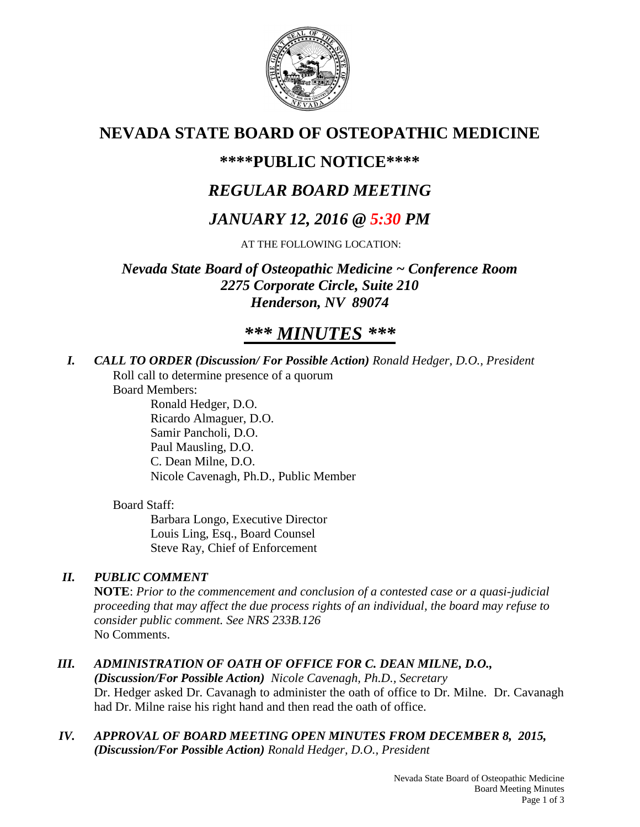

# **NEVADA STATE BOARD OF OSTEOPATHIC MEDICINE**

## **\*\*\*\*PUBLIC NOTICE\*\*\*\***

# *REGULAR BOARD MEETING*

# *JANUARY 12, 2016 @ 5:30 PM*

AT THE FOLLOWING LOCATION:

*Nevada State Board of Osteopathic Medicine ~ Conference Room 2275 Corporate Circle, Suite 210 Henderson, NV 89074*

# *\*\*\* MINUTES \*\*\**

*I. CALL TO ORDER (Discussion/ For Possible Action) Ronald Hedger, D.O., President* Roll call to determine presence of a quorum

Board Members:

Ronald Hedger, D.O. Ricardo Almaguer, D.O. Samir Pancholi, D.O. Paul Mausling, D.O. C. Dean Milne, D.O. Nicole Cavenagh, Ph.D., Public Member

## Board Staff:

Barbara Longo, Executive Director Louis Ling, Esq., Board Counsel Steve Ray, Chief of Enforcement

## *II. PUBLIC COMMENT*

**NOTE**: *Prior to the commencement and conclusion of a contested case or a quasi-judicial proceeding that may affect the due process rights of an individual, the board may refuse to consider public comment. See NRS 233B.126* No Comments.

## *III. ADMINISTRATION OF OATH OF OFFICE FOR C. DEAN MILNE, D.O.,*

*(Discussion/For Possible Action) Nicole Cavenagh, Ph.D., Secretary* Dr. Hedger asked Dr. Cavanagh to administer the oath of office to Dr. Milne. Dr. Cavanagh had Dr. Milne raise his right hand and then read the oath of office.

*IV. APPROVAL OF BOARD MEETING OPEN MINUTES FROM DECEMBER 8, 2015, (Discussion/For Possible Action) Ronald Hedger, D.O., President*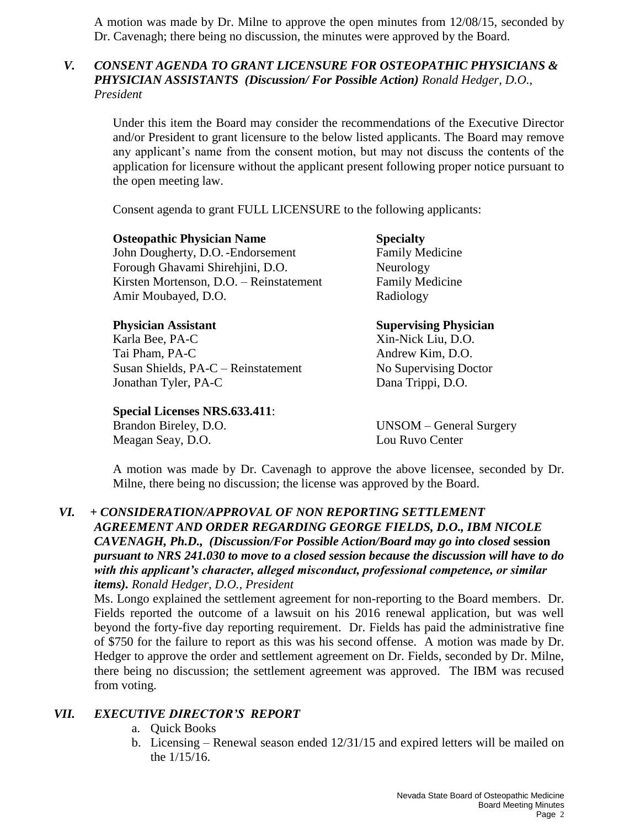A motion was made by Dr. Milne to approve the open minutes from 12/08/15, seconded by Dr. Cavenagh; there being no discussion, the minutes were approved by the Board.

### *V. CONSENT AGENDA TO GRANT LICENSURE FOR OSTEOPATHIC PHYSICIANS & PHYSICIAN ASSISTANTS (Discussion/ For Possible Action) Ronald Hedger, D.O., President*

Under this item the Board may consider the recommendations of the Executive Director and/or President to grant licensure to the below listed applicants. The Board may remove any applicant's name from the consent motion, but may not discuss the contents of the application for licensure without the applicant present following proper notice pursuant to the open meeting law.

Consent agenda to grant FULL LICENSURE to the following applicants:

**Osteopathic Physician Name Specialty** John Dougherty, D.O.-Endorsement Family Medicine Forough Ghavami Shirehjini, D.O. Neurology Kirsten Mortenson, D.O. – Reinstatement Family Medicine Amir Moubayed, D.O. Radiology

Karla Bee, PA-C Xin-Nick Liu, D.O. Tai Pham, PA-C Andrew Kim, D.O. Susan Shields, PA-C – Reinstatement No Supervising Doctor Jonathan Tyler, PA-C Dana Trippi, D.O.

**Special Licenses NRS.633.411**: Brandon Bireley, D.O. UNSOM – General Surgery Meagan Seay, D.O. Lou Ruvo Center

**Physician Assistant Supervising Physician**

A motion was made by Dr. Cavenagh to approve the above licensee, seconded by Dr. Milne, there being no discussion; the license was approved by the Board.

#### *VI. + CONSIDERATION/APPROVAL OF NON REPORTING SETTLEMENT AGREEMENT AND ORDER REGARDING GEORGE FIELDS, D.O., IBM NICOLE CAVENAGH, Ph.D., (Discussion/For Possible Action/Board may go into closed* **session** *pursuant to NRS 241.030 to move to a closed session because the discussion will have to do with this applicant's character, alleged misconduct, professional competence, or similar items). Ronald Hedger, D.O., President*

Ms. Longo explained the settlement agreement for non-reporting to the Board members. Dr. Fields reported the outcome of a lawsuit on his 2016 renewal application, but was well beyond the forty-five day reporting requirement. Dr. Fields has paid the administrative fine of \$750 for the failure to report as this was his second offense. A motion was made by Dr. Hedger to approve the order and settlement agreement on Dr. Fields, seconded by Dr. Milne, there being no discussion; the settlement agreement was approved. The IBM was recused from voting.

### *VII. EXECUTIVE DIRECTOR'S REPORT*

- a. Quick Books
- b. Licensing Renewal season ended 12/31/15 and expired letters will be mailed on the 1/15/16.